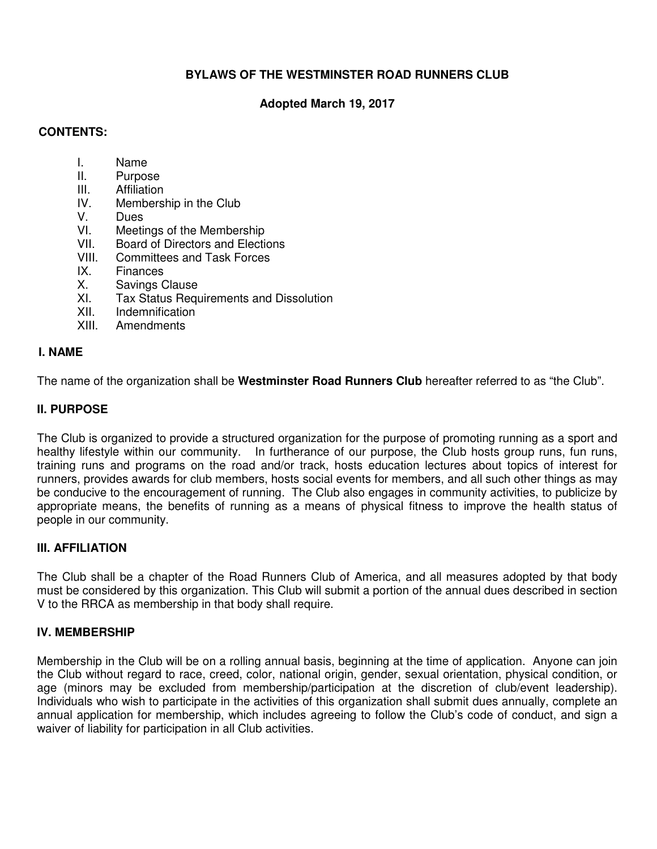# **BYLAWS OF THE WESTMINSTER ROAD RUNNERS CLUB**

# **Adopted March 19, 2017**

### **CONTENTS:**

- I. Name
- II. Purpose
- **III.** Affiliation<br>IV Members
- Membership in the Club
- 
- V. Dues<br>VI. Meeti Meetings of the Membership
- VII. Board of Directors and Elections
- VIII. Committees and Task Forces
- IX. Finances
- X. Savings Clause
- XI. Tax Status Requirements and Dissolution
- XII. Indemnification<br>XIII. Amendments
- **Amendments**

#### **I. NAME**

The name of the organization shall be **Westminster Road Runners Club** hereafter referred to as "the Club".

### **II. PURPOSE**

The Club is organized to provide a structured organization for the purpose of promoting running as a sport and healthy lifestyle within our community. In furtherance of our purpose, the Club hosts group runs, fun runs, training runs and programs on the road and/or track, hosts education lectures about topics of interest for runners, provides awards for club members, hosts social events for members, and all such other things as may be conducive to the encouragement of running. The Club also engages in community activities, to publicize by appropriate means, the benefits of running as a means of physical fitness to improve the health status of people in our community.

### **III. AFFILIATION**

The Club shall be a chapter of the Road Runners Club of America, and all measures adopted by that body must be considered by this organization. This Club will submit a portion of the annual dues described in section V to the RRCA as membership in that body shall require.

### **IV. MEMBERSHIP**

Membership in the Club will be on a rolling annual basis, beginning at the time of application. Anyone can join the Club without regard to race, creed, color, national origin, gender, sexual orientation, physical condition, or age (minors may be excluded from membership/participation at the discretion of club/event leadership). Individuals who wish to participate in the activities of this organization shall submit dues annually, complete an annual application for membership, which includes agreeing to follow the Club's code of conduct, and sign a waiver of liability for participation in all Club activities.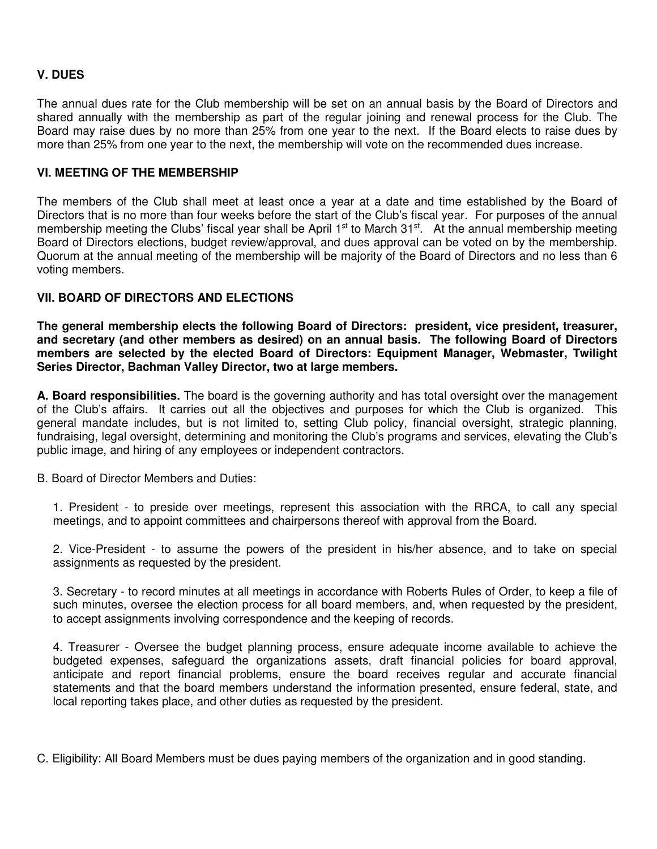## **V. DUES**

The annual dues rate for the Club membership will be set on an annual basis by the Board of Directors and shared annually with the membership as part of the regular joining and renewal process for the Club. The Board may raise dues by no more than 25% from one year to the next. If the Board elects to raise dues by more than 25% from one year to the next, the membership will vote on the recommended dues increase.

### **VI. MEETING OF THE MEMBERSHIP**

The members of the Club shall meet at least once a year at a date and time established by the Board of Directors that is no more than four weeks before the start of the Club's fiscal year. For purposes of the annual membership meeting the Clubs' fiscal year shall be April 1<sup>st</sup> to March 31<sup>st</sup>. At the annual membership meeting Board of Directors elections, budget review/approval, and dues approval can be voted on by the membership. Quorum at the annual meeting of the membership will be majority of the Board of Directors and no less than 6 voting members.

### **VII. BOARD OF DIRECTORS AND ELECTIONS**

**The general membership elects the following Board of Directors: president, vice president, treasurer, and secretary (and other members as desired) on an annual basis. The following Board of Directors members are selected by the elected Board of Directors: Equipment Manager, Webmaster, Twilight Series Director, Bachman Valley Director, two at large members.** 

**A. Board responsibilities.** The board is the governing authority and has total oversight over the management of the Club's affairs. It carries out all the objectives and purposes for which the Club is organized. This general mandate includes, but is not limited to, setting Club policy, financial oversight, strategic planning, fundraising, legal oversight, determining and monitoring the Club's programs and services, elevating the Club's public image, and hiring of any employees or independent contractors.

B. Board of Director Members and Duties:

1. President - to preside over meetings, represent this association with the RRCA, to call any special meetings, and to appoint committees and chairpersons thereof with approval from the Board.

2. Vice-President - to assume the powers of the president in his/her absence, and to take on special assignments as requested by the president.

3. Secretary - to record minutes at all meetings in accordance with Roberts Rules of Order, to keep a file of such minutes, oversee the election process for all board members, and, when requested by the president, to accept assignments involving correspondence and the keeping of records.

4. Treasurer - Oversee the budget planning process, ensure adequate income available to achieve the budgeted expenses, safeguard the organizations assets, draft financial policies for board approval, anticipate and report financial problems, ensure the board receives regular and accurate financial statements and that the board members understand the information presented, ensure federal, state, and local reporting takes place, and other duties as requested by the president.

C. Eligibility: All Board Members must be dues paying members of the organization and in good standing.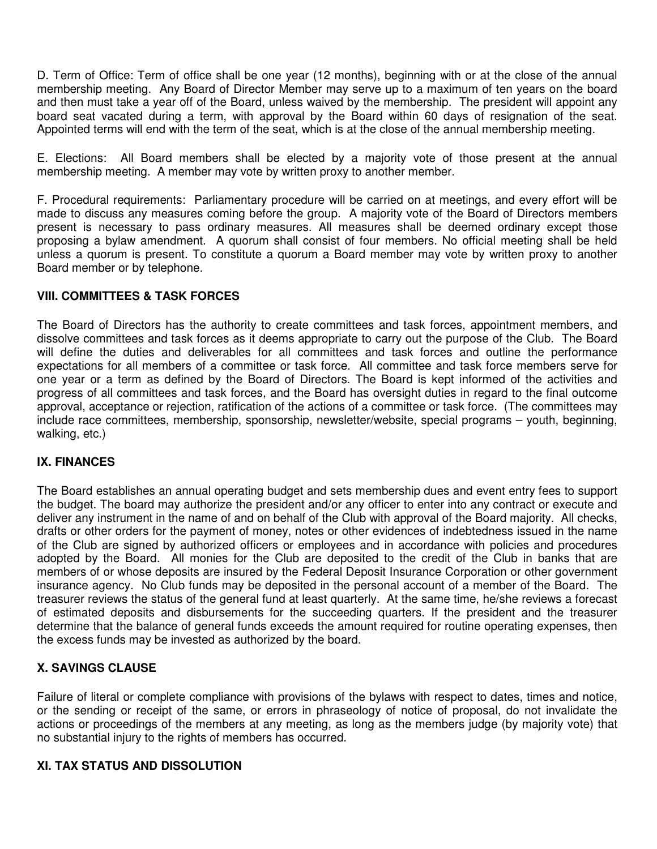D. Term of Office: Term of office shall be one year (12 months), beginning with or at the close of the annual membership meeting. Any Board of Director Member may serve up to a maximum of ten years on the board and then must take a year off of the Board, unless waived by the membership. The president will appoint any board seat vacated during a term, with approval by the Board within 60 days of resignation of the seat. Appointed terms will end with the term of the seat, which is at the close of the annual membership meeting.

E. Elections: All Board members shall be elected by a majority vote of those present at the annual membership meeting. A member may vote by written proxy to another member.

F. Procedural requirements: Parliamentary procedure will be carried on at meetings, and every effort will be made to discuss any measures coming before the group. A majority vote of the Board of Directors members present is necessary to pass ordinary measures. All measures shall be deemed ordinary except those proposing a bylaw amendment. A quorum shall consist of four members. No official meeting shall be held unless a quorum is present. To constitute a quorum a Board member may vote by written proxy to another Board member or by telephone.

## **VIII. COMMITTEES & TASK FORCES**

The Board of Directors has the authority to create committees and task forces, appointment members, and dissolve committees and task forces as it deems appropriate to carry out the purpose of the Club. The Board will define the duties and deliverables for all committees and task forces and outline the performance expectations for all members of a committee or task force. All committee and task force members serve for one year or a term as defined by the Board of Directors. The Board is kept informed of the activities and progress of all committees and task forces, and the Board has oversight duties in regard to the final outcome approval, acceptance or rejection, ratification of the actions of a committee or task force. (The committees may include race committees, membership, sponsorship, newsletter/website, special programs – youth, beginning, walking, etc.)

### **IX. FINANCES**

The Board establishes an annual operating budget and sets membership dues and event entry fees to support the budget. The board may authorize the president and/or any officer to enter into any contract or execute and deliver any instrument in the name of and on behalf of the Club with approval of the Board majority. All checks, drafts or other orders for the payment of money, notes or other evidences of indebtedness issued in the name of the Club are signed by authorized officers or employees and in accordance with policies and procedures adopted by the Board. All monies for the Club are deposited to the credit of the Club in banks that are members of or whose deposits are insured by the Federal Deposit Insurance Corporation or other government insurance agency. No Club funds may be deposited in the personal account of a member of the Board. The treasurer reviews the status of the general fund at least quarterly. At the same time, he/she reviews a forecast of estimated deposits and disbursements for the succeeding quarters. If the president and the treasurer determine that the balance of general funds exceeds the amount required for routine operating expenses, then the excess funds may be invested as authorized by the board.

### **X. SAVINGS CLAUSE**

Failure of literal or complete compliance with provisions of the bylaws with respect to dates, times and notice, or the sending or receipt of the same, or errors in phraseology of notice of proposal, do not invalidate the actions or proceedings of the members at any meeting, as long as the members judge (by majority vote) that no substantial injury to the rights of members has occurred.

### **XI. TAX STATUS AND DISSOLUTION**